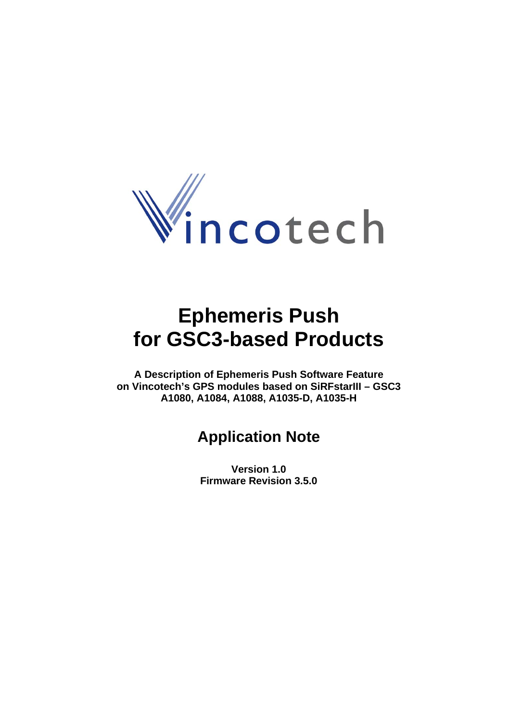

# **Ephemeris Push for GSC3-based Products**

**A Description of Ephemeris Push Software Feature on Vincotech's GPS modules based on SiRFstarIII – GSC3 A1080, A1084, A1088, A1035-D, A1035-H** 

# **Application Note**

**Version 1.0 Firmware Revision 3.5.0**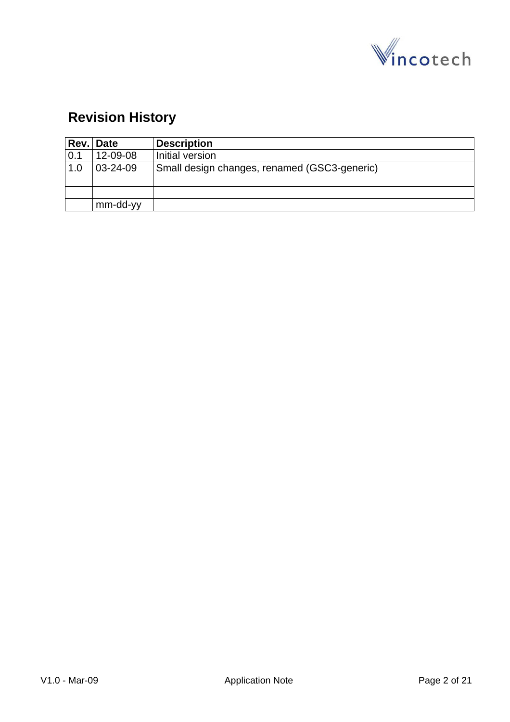

# **Revision History**

| Rev. Date |                | <b>Description</b>                           |
|-----------|----------------|----------------------------------------------|
| 0.1       | 12-09-08       | Initial version                              |
| 1.0       | $03 - 24 - 09$ | Small design changes, renamed (GSC3-generic) |
|           |                |                                              |
|           |                |                                              |
|           | mm-dd-yy       |                                              |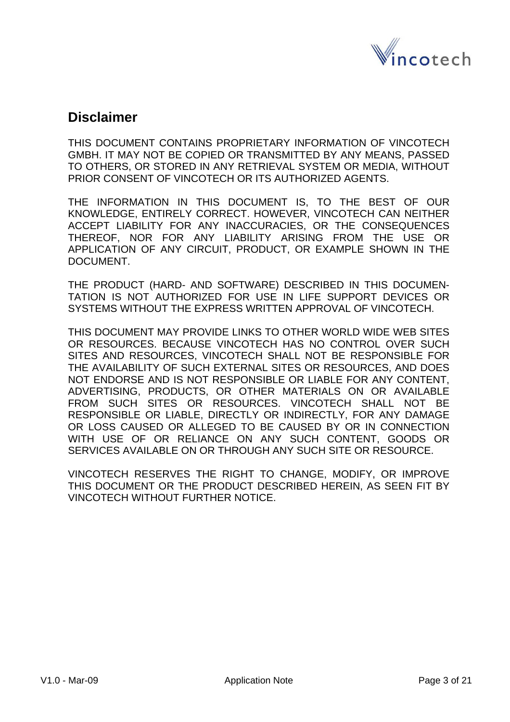

## **Disclaimer**

THIS DOCUMENT CONTAINS PROPRIETARY INFORMATION OF VINCOTECH GMBH. IT MAY NOT BE COPIED OR TRANSMITTED BY ANY MEANS, PASSED TO OTHERS, OR STORED IN ANY RETRIEVAL SYSTEM OR MEDIA, WITHOUT PRIOR CONSENT OF VINCOTECH OR ITS AUTHORIZED AGENTS.

THE INFORMATION IN THIS DOCUMENT IS, TO THE BEST OF OUR KNOWLEDGE, ENTIRELY CORRECT. HOWEVER, VINCOTECH CAN NEITHER ACCEPT LIABILITY FOR ANY INACCURACIES, OR THE CONSEQUENCES THEREOF, NOR FOR ANY LIABILITY ARISING FROM THE USE OR APPLICATION OF ANY CIRCUIT, PRODUCT, OR EXAMPLE SHOWN IN THE DOCUMENT.

THE PRODUCT (HARD- AND SOFTWARE) DESCRIBED IN THIS DOCUMEN-TATION IS NOT AUTHORIZED FOR USE IN LIFE SUPPORT DEVICES OR SYSTEMS WITHOUT THE EXPRESS WRITTEN APPROVAL OF VINCOTECH.

THIS DOCUMENT MAY PROVIDE LINKS TO OTHER WORLD WIDE WEB SITES OR RESOURCES. BECAUSE VINCOTECH HAS NO CONTROL OVER SUCH SITES AND RESOURCES, VINCOTECH SHALL NOT BE RESPONSIBLE FOR THE AVAILABILITY OF SUCH EXTERNAL SITES OR RESOURCES, AND DOES NOT ENDORSE AND IS NOT RESPONSIBLE OR LIABLE FOR ANY CONTENT, ADVERTISING, PRODUCTS, OR OTHER MATERIALS ON OR AVAILABLE FROM SUCH SITES OR RESOURCES. VINCOTECH SHALL NOT BE RESPONSIBLE OR LIABLE, DIRECTLY OR INDIRECTLY, FOR ANY DAMAGE OR LOSS CAUSED OR ALLEGED TO BE CAUSED BY OR IN CONNECTION WITH USE OF OR RELIANCE ON ANY SUCH CONTENT, GOODS OR SERVICES AVAILABLE ON OR THROUGH ANY SUCH SITE OR RESOURCE.

VINCOTECH RESERVES THE RIGHT TO CHANGE, MODIFY, OR IMPROVE THIS DOCUMENT OR THE PRODUCT DESCRIBED HEREIN, AS SEEN FIT BY VINCOTECH WITHOUT FURTHER NOTICE.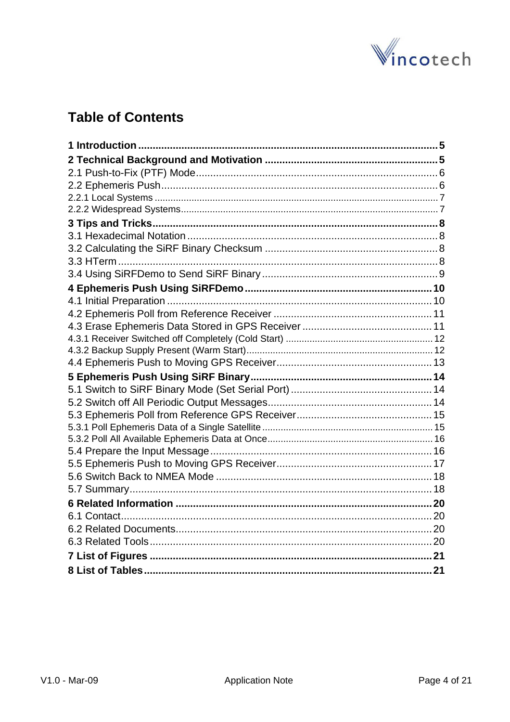

# **Table of Contents**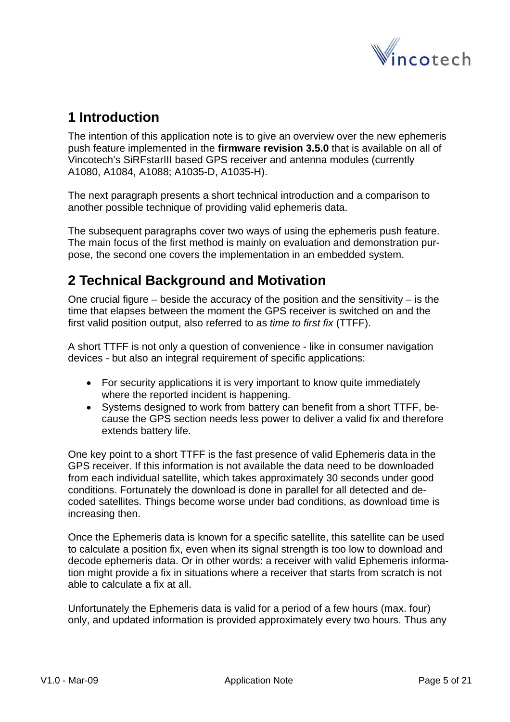

# <span id="page-4-0"></span>**1 Introduction**

The intention of this application note is to give an overview over the new ephemeris push feature implemented in the **firmware revision 3.5.0** that is available on all of Vincotech's SiRFstarIII based GPS receiver and antenna modules (currently A1080, A1084, A1088; A1035-D, A1035-H).

The next paragraph presents a short technical introduction and a comparison to another possible technique of providing valid ephemeris data.

The subsequent paragraphs cover two ways of using the ephemeris push feature. The main focus of the first method is mainly on evaluation and demonstration purpose, the second one covers the implementation in an embedded system.

# **2 Technical Background and Motivation**

One crucial figure – beside the accuracy of the position and the sensitivity – is the time that elapses between the moment the GPS receiver is switched on and the first valid position output, also referred to as *time to first fix* (TTFF).

A short TTFF is not only a question of convenience - like in consumer navigation devices - but also an integral requirement of specific applications:

- For security applications it is very important to know quite immediately where the reported incident is happening.
- Systems designed to work from battery can benefit from a short TTFF, because the GPS section needs less power to deliver a valid fix and therefore extends battery life.

One key point to a short TTFF is the fast presence of valid Ephemeris data in the GPS receiver. If this information is not available the data need to be downloaded from each individual satellite, which takes approximately 30 seconds under good conditions. Fortunately the download is done in parallel for all detected and decoded satellites. Things become worse under bad conditions, as download time is increasing then.

Once the Ephemeris data is known for a specific satellite, this satellite can be used to calculate a position fix, even when its signal strength is too low to download and decode ephemeris data. Or in other words: a receiver with valid Ephemeris information might provide a fix in situations where a receiver that starts from scratch is not able to calculate a fix at all.

Unfortunately the Ephemeris data is valid for a period of a few hours (max. four) only, and updated information is provided approximately every two hours. Thus any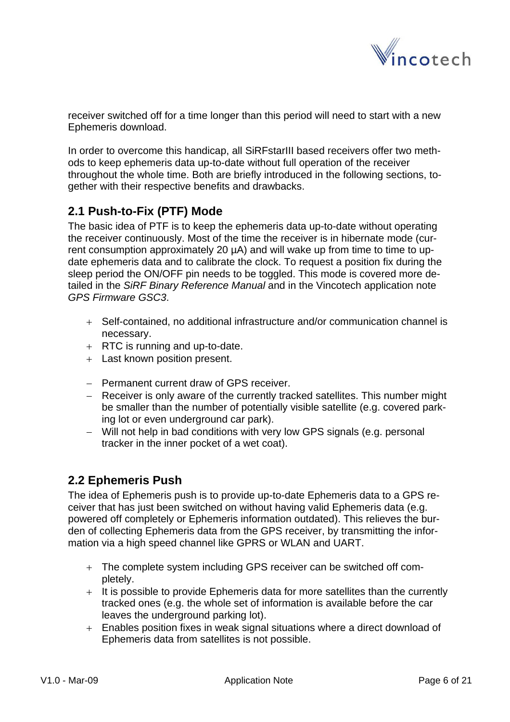

<span id="page-5-0"></span>receiver switched off for a time longer than this period will need to start with a new Ephemeris download.

In order to overcome this handicap, all SiRFstarIII based receivers offer two methods to keep ephemeris data up-to-date without full operation of the receiver throughout the whole time. Both are briefly introduced in the following sections, together with their respective benefits and drawbacks.

### **2.1 Push-to-Fix (PTF) Mode**

The basic idea of PTF is to keep the ephemeris data up-to-date without operating the receiver continuously. Most of the time the receiver is in hibernate mode (current consumption approximately 20 µA) and will wake up from time to time to update ephemeris data and to calibrate the clock. To request a position fix during the sleep period the ON/OFF pin needs to be toggled. This mode is covered more detailed in the *SiRF Binary Reference Manual* and in the Vincotech application note *GPS Firmware GSC3*.

- + Self-contained, no additional infrastructure and/or communication channel is necessary.
- + RTC is running and up-to-date.
- + Last known position present.
- − Permanent current draw of GPS receiver.
- − Receiver is only aware of the currently tracked satellites. This number might be smaller than the number of potentially visible satellite (e.g. covered parking lot or even underground car park).
- − Will not help in bad conditions with very low GPS signals (e.g. personal tracker in the inner pocket of a wet coat).

### **2.2 Ephemeris Push**

The idea of Ephemeris push is to provide up-to-date Ephemeris data to a GPS receiver that has just been switched on without having valid Ephemeris data (e.g. powered off completely or Ephemeris information outdated). This relieves the burden of collecting Ephemeris data from the GPS receiver, by transmitting the information via a high speed channel like GPRS or WLAN and UART.

- + The complete system including GPS receiver can be switched off completely.
- + It is possible to provide Ephemeris data for more satellites than the currently tracked ones (e.g. the whole set of information is available before the car leaves the underground parking lot).
- + Enables position fixes in weak signal situations where a direct download of Ephemeris data from satellites is not possible.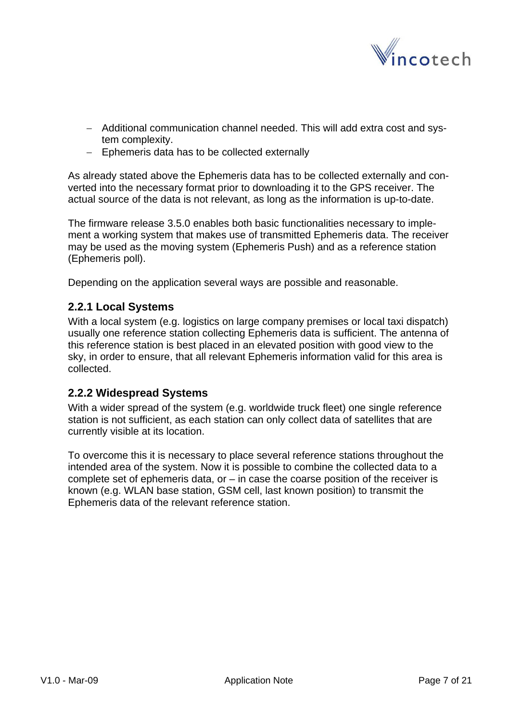

- <span id="page-6-0"></span>− Additional communication channel needed. This will add extra cost and system complexity.
- − Ephemeris data has to be collected externally

As already stated above the Ephemeris data has to be collected externally and converted into the necessary format prior to downloading it to the GPS receiver. The actual source of the data is not relevant, as long as the information is up-to-date.

The firmware release 3.5.0 enables both basic functionalities necessary to implement a working system that makes use of transmitted Ephemeris data. The receiver may be used as the moving system (Ephemeris Push) and as a reference station (Ephemeris poll).

Depending on the application several ways are possible and reasonable.

#### **2.2.1 Local Systems**

With a local system (e.g. logistics on large company premises or local taxi dispatch) usually one reference station collecting Ephemeris data is sufficient. The antenna of this reference station is best placed in an elevated position with good view to the sky, in order to ensure, that all relevant Ephemeris information valid for this area is collected.

#### **2.2.2 Widespread Systems**

With a wider spread of the system (e.g. worldwide truck fleet) one single reference station is not sufficient, as each station can only collect data of satellites that are currently visible at its location.

To overcome this it is necessary to place several reference stations throughout the intended area of the system. Now it is possible to combine the collected data to a complete set of ephemeris data, or  $-$  in case the coarse position of the receiver is known (e.g. WLAN base station, GSM cell, last known position) to transmit the Ephemeris data of the relevant reference station.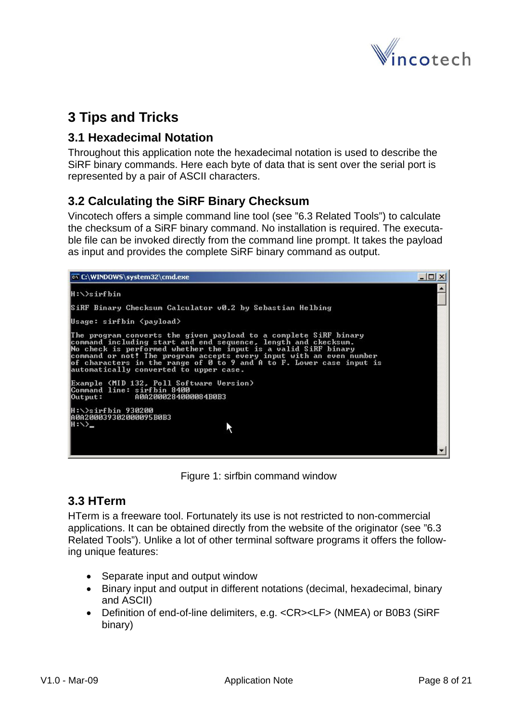

# <span id="page-7-0"></span>**3 Tips and Tricks**

#### **3.1 Hexadecimal Notation**

Throughout this application note the hexadecimal notation is used to describe the SiRF binary commands. Here each byte of data that is sent over the serial port is represented by a pair of ASCII characters.

### **3.2 Calculating the SiRF Binary Checksum**

Vincotech offers a simple command line tool (see ["6.3](#page-19-1) [Related Tools](#page-19-1)") to calculate the checksum of a SiRF binary command. No installation is required. The executable file can be invoked directly from the command line prompt. It takes the payload as input and provides the complete SiRF binary command as output.



Figure 1: sirfbin command window

#### **3.3 HTerm**

HTerm is a freeware tool. Fortunately its use is not restricted to non-commercial applications. It can be obtained directly from the website of the originator (see ["6.3](#page-19-1) [Related Tools](#page-19-1)"). Unlike a lot of other terminal software programs it offers the following unique features:

- Separate input and output window
- Binary input and output in different notations (decimal, hexadecimal, binary and ASCII)
- Definition of end-of-line delimiters, e.g. <CR><LF> (NMEA) or B0B3 (SiRF binary)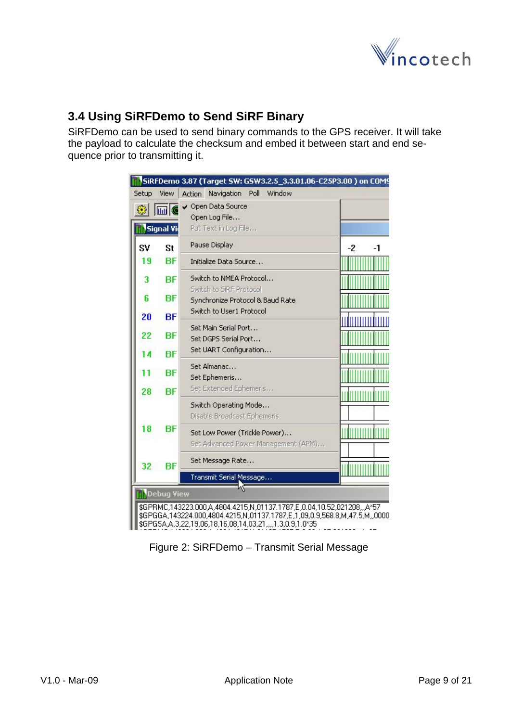

### <span id="page-8-0"></span>**3.4 Using SiRFDemo to Send SiRF Binary**

SiRFDemo can be used to send binary commands to the GPS receiver. It will take the payload to calculate the checksum and embed it between start and end sequence prior to transmitting it.

|       |                  | SiRFDemo 3.87 (Target SW: GSW3.2.5_3.3.01.06-C25P3.00) on COM9                                                                                                                                                              |          |
|-------|------------------|-----------------------------------------------------------------------------------------------------------------------------------------------------------------------------------------------------------------------------|----------|
| Setup | View             | Window<br>Navigation<br>Poll<br>Action                                                                                                                                                                                      |          |
| ▩▮    | <b>M</b>         | Open Data Source<br>Open Log File                                                                                                                                                                                           |          |
|       | <b>Signal Vi</b> | Put Text in Log File                                                                                                                                                                                                        |          |
| SV    | St               | Pause Display                                                                                                                                                                                                               | -2<br>-1 |
| 19    | <b>BF</b>        | Initialize Data Source                                                                                                                                                                                                      |          |
| 3     | <b>BF</b>        | Switch to NMEA Protocol<br>Switch to SIRF Protocol                                                                                                                                                                          |          |
| 6     | BF               | Synchronize Protocol & Baud Rate                                                                                                                                                                                            |          |
| 20    | <b>BF</b>        | Switch to User1 Protocol                                                                                                                                                                                                    |          |
| 22    | BF               | Set Main Serial Port<br>Set DGPS Serial Port                                                                                                                                                                                |          |
|       | <b>BF</b>        | Set UART Configuration                                                                                                                                                                                                      |          |
|       | BF               | Set Almanac<br>Set Ephemeris                                                                                                                                                                                                |          |
| 28    | <b>BF</b>        | Set Extended Ephemeris                                                                                                                                                                                                      |          |
|       |                  | Switch Operating Mode<br>Disable Broadcast Ephemeris                                                                                                                                                                        |          |
| 18    | BF               | Set Low Power (Trickle Power)<br>Set Advanced Power Management (APM)                                                                                                                                                        |          |
| 32    | <b>BF</b>        | Set Message Rate                                                                                                                                                                                                            |          |
|       |                  | Transmit Serial Message                                                                                                                                                                                                     |          |
|       | Debug View       |                                                                                                                                                                                                                             |          |
|       |                  | \$GPRMC,143223.000,A,4804.4215,N,01137.1787,E,0.04,10.52,021208,,,A*57<br>\$GPGGA,143224.000,4804.4215,N,01137.1787,E,1,09,0.9,568.8,M,47.5,M,,0000<br>\$GPGSA A, 3, 22, 19, 06, 18, 16, 08, 14, 03, 21, , 1.3, 0.9, 1.0*35 |          |

Figure 2: SiRFDemo – Transmit Serial Message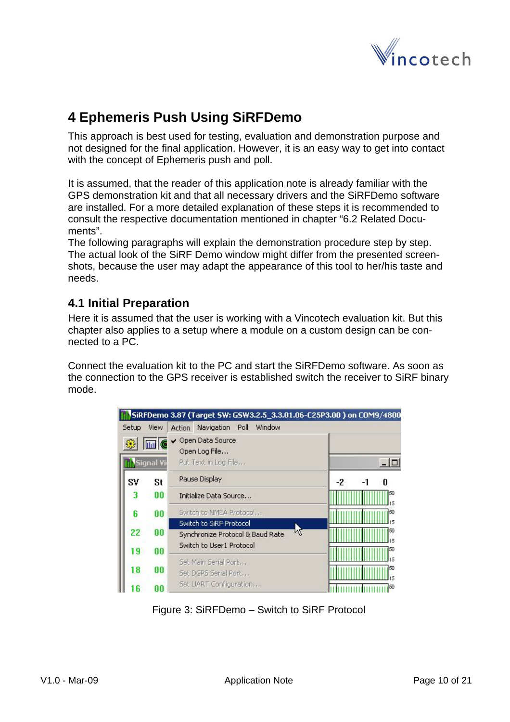

# <span id="page-9-0"></span>**4 Ephemeris Push Using SiRFDemo**

This approach is best used for testing, evaluation and demonstration purpose and not designed for the final application. However, it is an easy way to get into contact with the concept of Ephemeris push and poll.

It is assumed, that the reader of this application note is already familiar with the GPS demonstration kit and that all necessary drivers and the SiRFDemo software are installed. For a more detailed explanation of these steps it is recommended to consult the respective documentation mentioned in chapter ["6.2](#page-19-2) [Related Docu](#page-19-2)[ments](#page-19-2)".

The following paragraphs will explain the demonstration procedure step by step. The actual look of the SiRF Demo window might differ from the presented screenshots, because the user may adapt the appearance of this tool to her/his taste and needs.

#### **4.1 Initial Preparation**

Here it is assumed that the user is working with a Vincotech evaluation kit. But this chapter also applies to a setup where a module on a custom design can be connected to a PC.

Connect the evaluation kit to the PC and start the SiRFDemo software. As soon as the connection to the GPS receiver is established switch the receiver to SiRF binary mode.

|       |             | SiRFDemo 3.87 (Target SW: GSW3.2.5_3.3.01.06-C25P3.00) on COM9/4800 |                 |
|-------|-------------|---------------------------------------------------------------------|-----------------|
| Setup | <b>View</b> | Window<br>Navigation<br>Poll<br><b>Action</b>                       |                 |
|       | <b>Mill</b> | Open Data Source<br>Open Log File                                   |                 |
|       | Signal Vi   | Put Text in Log File                                                |                 |
| SV    | St          | Pause Display                                                       | $-2$<br>n<br>-1 |
| 3     | 00          | Initialize Data Source                                              | 50              |
| 6     | 00          | Switch to NMEA Protocol                                             | 50              |
|       |             | Switch to SiRF Protocol                                             |                 |
| 22    | 00          | K<br>Synchronize Protocol & Baud Rate                               | 50              |
| 19    | 00          | Switch to User1 Protocol                                            | 50              |
|       |             | Set Main Serial Port                                                |                 |
| 18    | 00          | Set DGPS Serial Port                                                |                 |
|       | በበ          | Set UART Configuration                                              |                 |

Figure 3: SiRFDemo – Switch to SiRF Protocol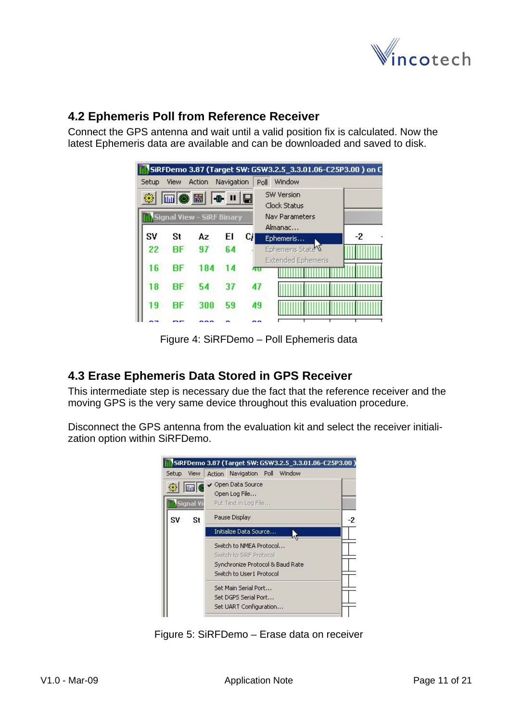

### <span id="page-10-1"></span><span id="page-10-0"></span>**4.2 Ephemeris Poll from Reference Receiver**

Connect the GPS antenna and wait until a valid position fix is calculated. Now the latest Ephemeris data are available and can be downloaded and saved to disk.

|       |      |                           |            |    | SiRFDemo 3.87 (Target SW: GSW3.2.5_3.3.01.06-C25P3.00) on C |      |
|-------|------|---------------------------|------------|----|-------------------------------------------------------------|------|
| Setup | View | Action                    | Navigation |    | Window<br>Poll                                              |      |
| 鑗     |      |                           |            |    | <b>SW Version</b><br>Clock Status                           |      |
|       |      | Signal View - SiRF Binary |            |    | <b>Nav Parameters</b><br>Almanac                            |      |
| SV    | St   | Az                        | ΕI         | СД | Ephemeris                                                   | $-2$ |
| 22    | ВF   | 97                        | 64         |    | Ephemeris State                                             |      |
| 16    | RF   | 184                       |            |    | <b>Extended Ephemeris</b><br>40                             |      |
| 18    | RF   | 54                        | 37         |    | 47                                                          |      |
| 19    | RF   | 300                       | 59         |    | 49                                                          |      |
|       |      |                           |            |    |                                                             |      |

Figure 4: SiRFDemo – Poll Ephemeris data

### **4.3 Erase Ephemeris Data Stored in GPS Receiver**

This intermediate step is necessary due the fact that the reference receiver and the moving GPS is the very same device throughout this evaluation procedure.

Disconnect the GPS antenna from the evaluation kit and select the receiver initialization option within SiRFDemo.



Figure 5: SiRFDemo – Erase data on receiver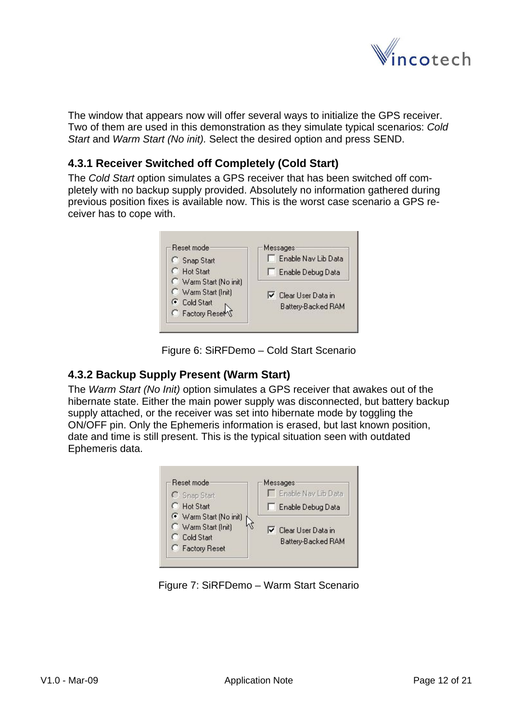

<span id="page-11-0"></span>The window that appears now will offer several ways to initialize the GPS receiver. Two of them are used in this demonstration as they simulate typical scenarios: *Cold Start* and *Warm Start (No init).* Select the desired option and press SEND.

#### **4.3.1 Receiver Switched off Completely (Cold Start)**

The *Cold Start* option simulates a GPS receiver that has been switched off completely with no backup supply provided. Absolutely no information gathered during previous position fixes is available now. This is the worst case scenario a GPS receiver has to cope with.



Figure 6: SiRFDemo – Cold Start Scenario

#### **4.3.2 Backup Supply Present (Warm Start)**

The *Warm Start (No Init)* option simulates a GPS receiver that awakes out of the hibernate state. Either the main power supply was disconnected, but battery backup supply attached, or the receiver was set into hibernate mode by toggling the ON/OFF pin. Only the Ephemeris information is erased, but last known position, date and time is still present. This is the typical situation seen with outdated Ephemeris data.



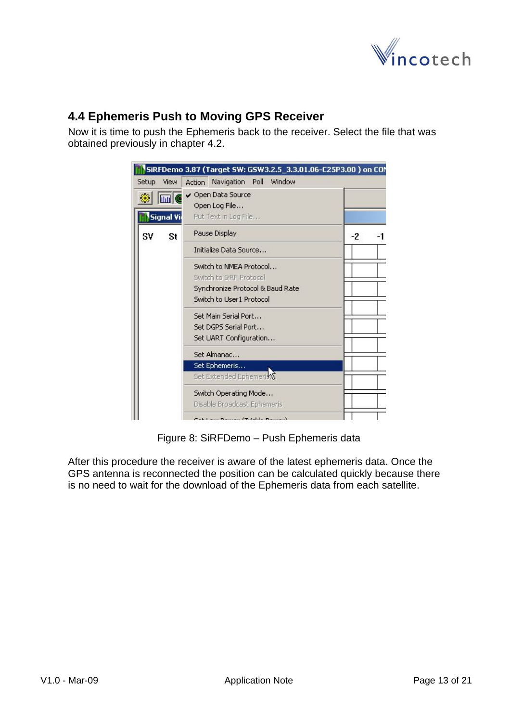

### <span id="page-12-0"></span>**4.4 Ephemeris Push to Moving GPS Receiver**

Now it is time to push the Ephemeris back to the receiver. Select the file that was obtained previously in chapter [4.2.](#page-10-1)

|                               | SiRFDemo 3.87 (Target SW: GSW3.2.5_3.3.01.06-C25P3.00) on COM |
|-------------------------------|---------------------------------------------------------------|
| Setup<br><b>View</b>          | Action Navigation Poll Window                                 |
| <b>ILLE</b><br>₩<br>Signal Vi | ✔ Open Data Source<br>Open Log File<br>Put Text in Log File   |
| S٧<br>St                      | Pause Display<br>-2                                           |
|                               | Initialize Data Source                                        |
|                               | Switch to NMEA Protocol                                       |
|                               | Switch to SIRE Protocol                                       |
|                               | Synchronize Protocol & Baud Rate                              |
|                               | Switch to User1 Protocol                                      |
|                               | Set Main Serial Port                                          |
|                               | Set DGPS Serial Port                                          |
|                               | Set UART Configuration                                        |
|                               | Set Almanac                                                   |
|                               | Set Ephemeris                                                 |
|                               | Set Extended Ephemeriky                                       |
|                               | Switch Operating Mode                                         |
|                               | Disable Broadcast Ephemeris                                   |
|                               | Cabil and Damas /Total to Damas                               |

Figure 8: SiRFDemo – Push Ephemeris data

After this procedure the receiver is aware of the latest ephemeris data. Once the GPS antenna is reconnected the position can be calculated quickly because there is no need to wait for the download of the Ephemeris data from each satellite.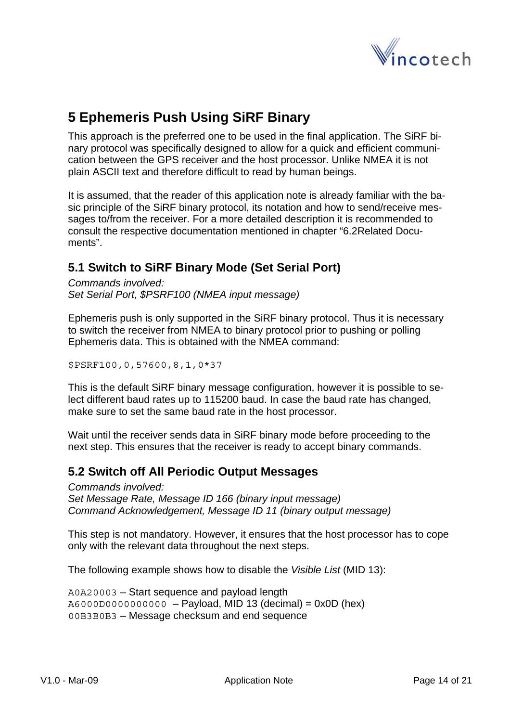

# <span id="page-13-0"></span>**5 Ephemeris Push Using SiRF Binary**

This approach is the preferred one to be used in the final application. The SiRF binary protocol was specifically designed to allow for a quick and efficient communication between the GPS receiver and the host processor. Unlike NMEA it is not plain ASCII text and therefore difficult to read by human beings.

It is assumed, that the reader of this application note is already familiar with the basic principle of the SiRF binary protocol, its notation and how to send/receive messages to/from the receiver. For a more detailed description it is recommended to consult the respective documentation mentioned in chapter ["6.2Related Docu](#page-19-2)[ments](#page-19-2)".

### **5.1 Switch to SiRF Binary Mode (Set Serial Port)**

*Commands involved: Set Serial Port, \$PSRF100 (NMEA input message)* 

Ephemeris push is only supported in the SiRF binary protocol. Thus it is necessary to switch the receiver from NMEA to binary protocol prior to pushing or polling Ephemeris data. This is obtained with the NMEA command:

\$PSRF100,0,57600,8,1,0\*37

This is the default SiRF binary message configuration, however it is possible to select different baud rates up to 115200 baud. In case the baud rate has changed, make sure to set the same baud rate in the host processor.

Wait until the receiver sends data in SiRF binary mode before proceeding to the next step. This ensures that the receiver is ready to accept binary commands.

#### **5.2 Switch off All Periodic Output Messages**

*Commands involved: Set Message Rate, Message ID 166 (binary input message) Command Acknowledgement, Message ID 11 (binary output message)* 

This step is not mandatory. However, it ensures that the host processor has to cope only with the relevant data throughout the next steps.

The following example shows how to disable the *Visible List* (MID 13):

A0A20003 – Start sequence and payload length A6000D0000000000 – Payload, MID 13 (decimal) = 0x0D (hex) 00B3B0B3 – Message checksum and end sequence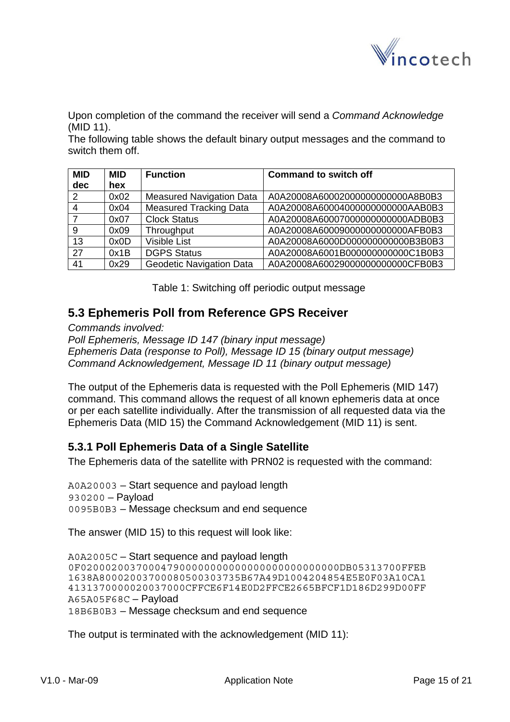

<span id="page-14-0"></span>Upon completion of the command the receiver will send a *Command Acknowledge* (MID 11).

The following table shows the default binary output messages and the command to switch them off.

| <b>MID</b> | <b>MID</b> | <b>Function</b>                 | <b>Command to switch off</b>      |
|------------|------------|---------------------------------|-----------------------------------|
| dec        | hex        |                                 |                                   |
| 2          | 0x02       | <b>Measured Navigation Data</b> | A0A20008A600020000000000000A8B0B3 |
|            | 0x04       | <b>Measured Tracking Data</b>   | A0A20008A600040000000000000AAB0B3 |
|            | 0x07       | <b>Clock Status</b>             | A0A20008A600070000000000000ADB0B3 |
| 9          | 0x09       | Throughput                      | A0A20008A600090000000000000AFB0B3 |
| 13         | 0x0D       | <b>Visible List</b>             | A0A20008A6000D0000000000000B3B0B3 |
| 27         | 0x1B       | <b>DGPS Status</b>              | A0A20008A6001B0000000000000C1B0B3 |
| 41         | 0x29       | <b>Geodetic Navigation Data</b> | A0A20008A600290000000000000CFB0B3 |

Table 1: Switching off periodic output message

#### **5.3 Ephemeris Poll from Reference GPS Receiver**

*Commands involved: Poll Ephemeris, Message ID 147 (binary input message)* 

*Ephemeris Data (response to Poll), Message ID 15 (binary output message) Command Acknowledgement, Message ID 11 (binary output message)* 

The output of the Ephemeris data is requested with the Poll Ephemeris (MID 147) command. This command allows the request of all known ephemeris data at once or per each satellite individually. After the transmission of all requested data via the Ephemeris Data (MID 15) the Command Acknowledgement (MID 11) is sent.

#### <span id="page-14-1"></span>**5.3.1 Poll Ephemeris Data of a Single Satellite**

The Ephemeris data of the satellite with PRN02 is requested with the command:

A0A20003 – Start sequence and payload length 930200 – Payload 0095B0B3 – Message checksum and end sequence

The answer (MID 15) to this request will look like:

A0A2005C – Start sequence and payload length 0F020002003700047900000000000000000000000000DB05313700FFEB 1638A80002003700080500303735B67A49D1004204854E5E0F03A10CA1 4131370000020037000CFFCE6F14E0D2FFCE2665BFCF1D186D299D00FF A65A05F68C – Payload 18B6B0B3 – Message checksum and end sequence

The output is terminated with the acknowledgement (MID 11):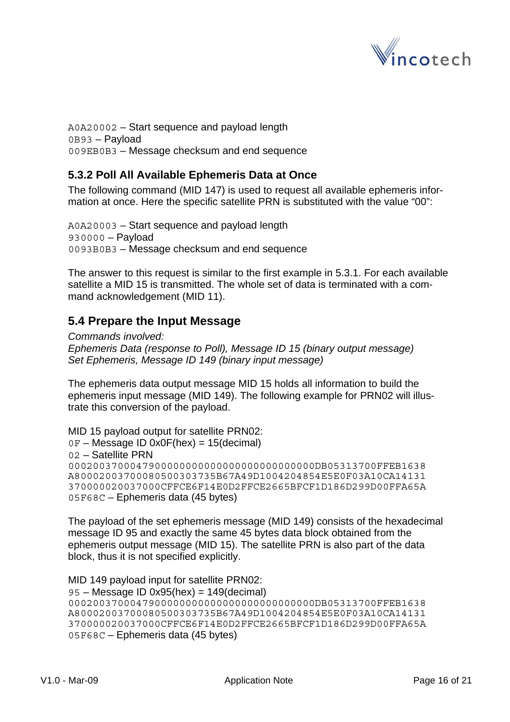

<span id="page-15-0"></span>A0A20002 – Start sequence and payload length 0B93 – Payload 009EB0B3 – Message checksum and end sequence

#### **5.3.2 Poll All Available Ephemeris Data at Once**

The following command (MID 147) is used to request all available ephemeris information at once. Here the specific satellite PRN is substituted with the value "00":

A0A20003 – Start sequence and payload length 930000 – Payload 0093B0B3 – Message checksum and end sequence

The answer to this request is similar to the first example in [5.3.1](#page-14-1). For each available satellite a MID 15 is transmitted. The whole set of data is terminated with a command acknowledgement (MID 11).

### <span id="page-15-1"></span>**5.4 Prepare the Input Message**

*Commands involved: Ephemeris Data (response to Poll), Message ID 15 (binary output message) Set Ephemeris, Message ID 149 (binary input message)* 

The ephemeris data output message MID 15 holds all information to build the ephemeris input message (MID 149). The following example for PRN02 will illustrate this conversion of the payload.

MID 15 payload output for satellite PRN02:  $0F$  – Message ID 0x0F(hex) = 15(decimal) 02 – Satellite PRN 0002003700047900000000000000000000000000DB05313700FFEB1638 A80002003700080500303735B67A49D1004204854E5E0F03A10CA14131 370000020037000CFFCE6F14E0D2FFCE2665BFCF1D186D299D00FFA65A 05F68C – Ephemeris data (45 bytes)

The payload of the set ephemeris message (MID 149) consists of the hexadecimal message ID 95 and exactly the same 45 bytes data block obtained from the ephemeris output message (MID 15). The satellite PRN is also part of the data block, thus it is not specified explicitly.

```
MID 149 payload input for satellite PRN02: 
95 – Message ID 0x95(hex) = 149(decimal) 
0002003700047900000000000000000000000000DB05313700FFEB1638 
A80002003700080500303735B67A49D1004204854E5E0F03A10CA14131 
370000020037000CFFCE6F14E0D2FFCE2665BFCF1D186D299D00FFA65A 
05F68C – Ephemeris data (45 bytes)
```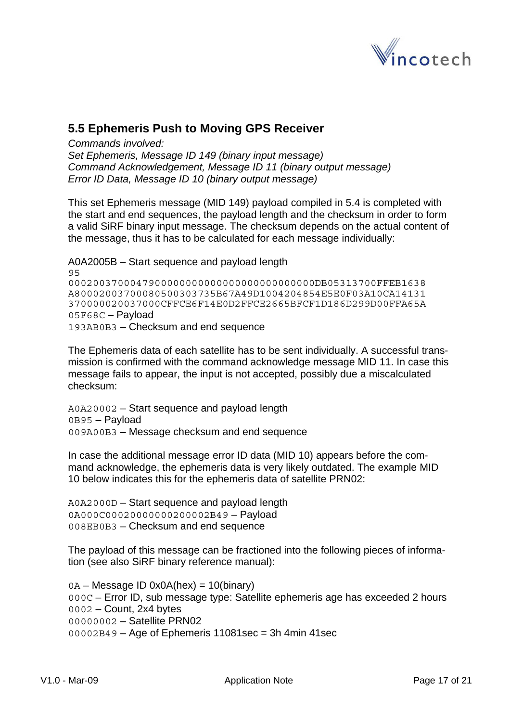

### <span id="page-16-0"></span>**5.5 Ephemeris Push to Moving GPS Receiver**

*Commands involved:* 

*Set Ephemeris, Message ID 149 (binary input message) Command Acknowledgement, Message ID 11 (binary output message) Error ID Data, Message ID 10 (binary output message)* 

This set Ephemeris message (MID 149) payload compiled in [5.4](#page-15-1) is completed with the start and end sequences, the payload length and the checksum in order to form a valid SiRF binary input message. The checksum depends on the actual content of the message, thus it has to be calculated for each message individually:

A0A2005B – Start sequence and payload length 95 0002003700047900000000000000000000000000DB05313700FFEB1638 A80002003700080500303735B67A49D1004204854E5E0F03A10CA14131 370000020037000CFFCE6F14E0D2FFCE2665BFCF1D186D299D00FFA65A 05F68C – Payload 193AB0B3 – Checksum and end sequence

The Ephemeris data of each satellite has to be sent individually. A successful transmission is confirmed with the command acknowledge message MID 11. In case this message fails to appear, the input is not accepted, possibly due a miscalculated checksum:

A0A20002 – Start sequence and payload length 0B95 – Payload 009A00B3 – Message checksum and end sequence

In case the additional message error ID data (MID 10) appears before the command acknowledge, the ephemeris data is very likely outdated. The example MID 10 below indicates this for the ephemeris data of satellite PRN02:

A0A2000D – Start sequence and payload length 0A000C00020000000200002B49 – Payload 008EB0B3 – Checksum and end sequence

The payload of this message can be fractioned into the following pieces of information (see also SiRF binary reference manual):

0A – Message ID 0x0A(hex) = 10(binary) 000C – Error ID, sub message type: Satellite ephemeris age has exceeded 2 hours 0002 – Count, 2x4 bytes 00000002 – Satellite PRN02  $00002B49 - Age$  of Ephemeris 11081sec = 3h 4min 41sec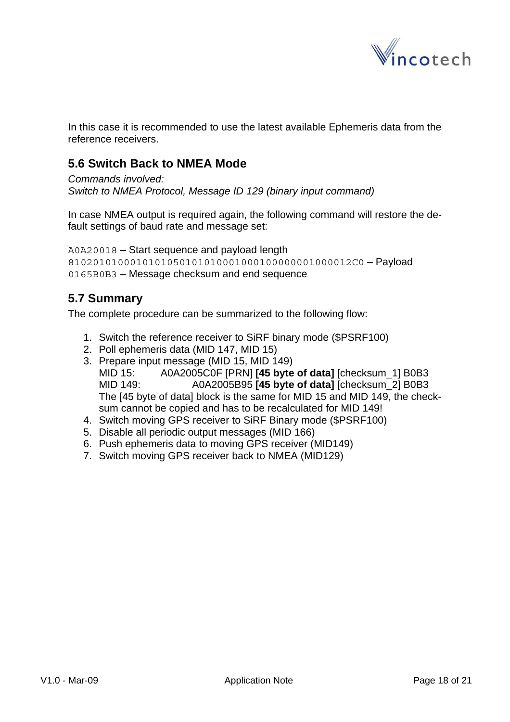

<span id="page-17-0"></span>In this case it is recommended to use the latest available Ephemeris data from the reference receivers.

### **5.6 Switch Back to NMEA Mode**

*Commands involved: Switch to NMEA Protocol, Message ID 129 (binary input command)* 

In case NMEA output is required again, the following command will restore the default settings of baud rate and message set:

```
A0A20018 – Start sequence and payload length 
8102010100010101050101010001000100000001000012C0 – Payload 
0165B0B3 – Message checksum and end sequence
```
#### **5.7 Summary**

The complete procedure can be summarized to the following flow:

- 1. Switch the reference receiver to SiRF binary mode (\$PSRF100)
- 2. Poll ephemeris data (MID 147, MID 15)
- 3. Prepare input message (MID 15, MID 149) MID 15: A0A2005C0F [PRN] **[45 byte of data]** [checksum\_1] B0B3 MID 149: A0A2005B95 **[45 byte of data]** [checksum\_2] B0B3 The [45 byte of data] block is the same for MID 15 and MID 149, the check-
- sum cannot be copied and has to be recalculated for MID 149!
- 4. Switch moving GPS receiver to SiRF Binary mode (\$PSRF100)
- 5. Disable all periodic output messages (MID 166)
- 6. Push ephemeris data to moving GPS receiver (MID149)
- 7. Switch moving GPS receiver back to NMEA (MID129)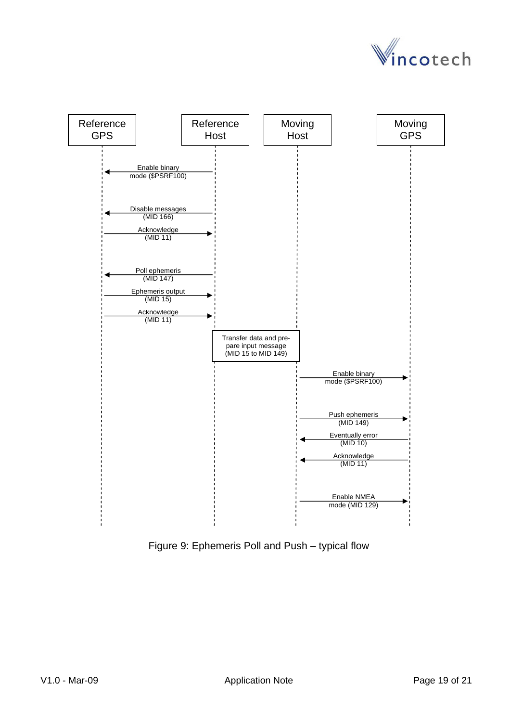

<span id="page-18-0"></span>

Figure 9: Ephemeris Poll and Push – typical flow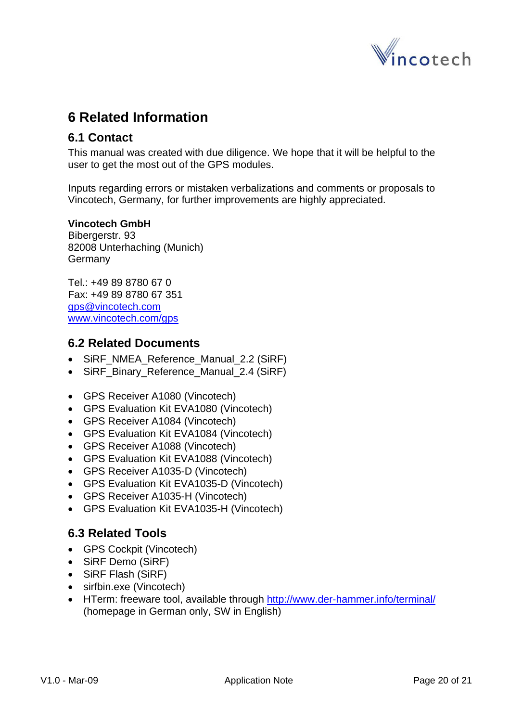

# <span id="page-19-0"></span>**6 Related Information**

#### **6.1 Contact**

This manual was created with due diligence. We hope that it will be helpful to the user to get the most out of the GPS modules.

Inputs regarding errors or mistaken verbalizations and comments or proposals to Vincotech, Germany, for further improvements are highly appreciated.

#### **Vincotech GmbH**

Bibergerstr. 93 82008 Unterhaching (Munich) **Germany** 

Tel.: +49 89 8780 67 0 Fax: +49 89 8780 67 351 [gps@vincotech.com](mailto:gps@vincotech.com?subject=General%20request) [www.vincotech.com/gps](http://www.vincotech.com/gps)

#### <span id="page-19-2"></span>**6.2 Related Documents**

- SiRF\_NMEA\_Reference\_Manual\_2.2 (SiRF)
- SiRF Binary Reference Manual 2.4 (SiRF)
- GPS Receiver A1080 (Vincotech)
- GPS Evaluation Kit EVA1080 (Vincotech)
- GPS Receiver A1084 (Vincotech)
- GPS Evaluation Kit EVA1084 (Vincotech)
- GPS Receiver A1088 (Vincotech)
- GPS Evaluation Kit EVA1088 (Vincotech)
- GPS Receiver A1035-D (Vincotech)
- GPS Evaluation Kit EVA1035-D (Vincotech)
- GPS Receiver A1035-H (Vincotech)
- GPS Evaluation Kit EVA1035-H (Vincotech)

#### <span id="page-19-1"></span>**6.3 Related Tools**

- GPS Cockpit (Vincotech)
- SiRF Demo (SiRF)
- SiRF Flash (SiRF)
- sirfbin.exe (Vincotech)
- HTerm: freeware tool, available through<http://www.der-hammer.info/terminal/> (homepage in German only, SW in English)